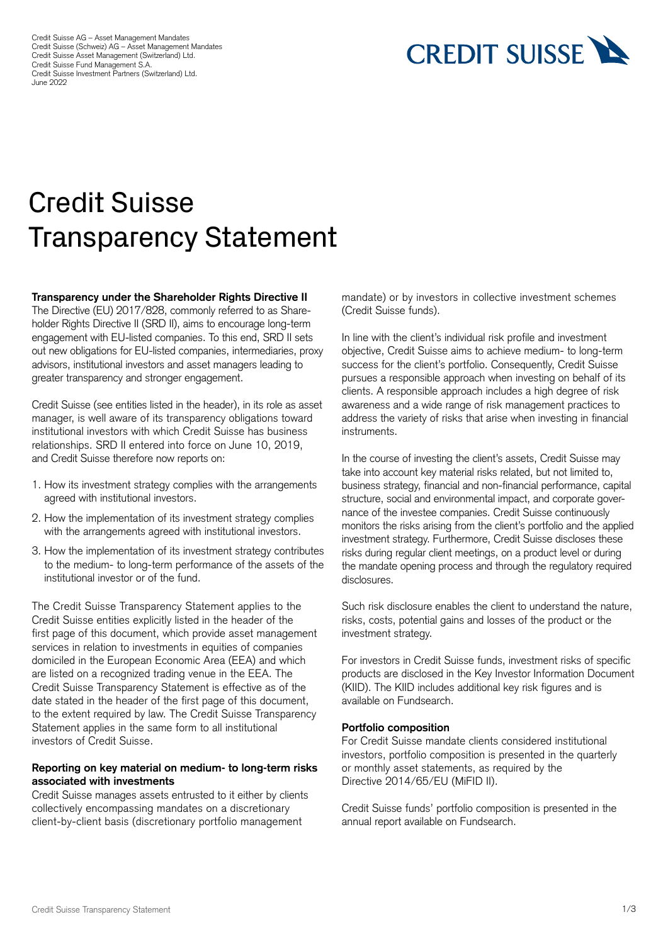Credit Suisse AG – Asset Management Mandates Credit Suisse (Schweiz) AG – Asset Management Mandates Credit Suisse Asset Management (Switzerland) Ltd. Credit Suisse Fund Management S.A. Credit Suisse Investment Partners (Switzerland) Ltd. June 2022



# Credit Suisse Transparency Statement

#### **Transparency under the Shareholder Rights Directive II**

The Directive (EU) 2017/828, commonly referred to as Shareholder Rights Directive II (SRD II), aims to encourage long-term engagement with EU-listed companies. To this end, SRD II sets out new obligations for EU-listed companies, intermediaries, proxy advisors, institutional investors and asset managers leading to greater transparency and stronger engagement.

Credit Suisse (see entities listed in the header), in its role as asset manager, is well aware of its transparency obligations toward institutional investors with which Credit Suisse has business relationships. SRD II entered into force on June 10, 2019, and Credit Suisse therefore now reports on:

- 1. How its investment strategy complies with the arrangements agreed with institutional investors.
- 2. How the implementation of its investment strategy complies with the arrangements agreed with institutional investors.
- 3. How the implementation of its investment strategy contributes to the medium- to long-term performance of the assets of the institutional investor or of the fund.

The Credit Suisse Transparency Statement applies to the Credit Suisse entities explicitly listed in the header of the first page of this document, which provide asset management services in relation to investments in equities of companies domiciled in the European Economic Area (EEA) and which are listed on a recognized trading venue in the EEA. The Credit Suisse Transparency Statement is effective as of the date stated in the header of the first page of this document, to the extent required by law. The Credit Suisse Transparency Statement applies in the same form to all institutional investors of Credit Suisse.

#### **Reporting on key material on medium- to long-term risks associated with investments**

Credit Suisse manages assets entrusted to it either by clients collectively encompassing mandates on a discretionary client-by-client basis (discretionary portfolio management

mandate) or by investors in collective investment schemes (Credit Suisse funds).

In line with the client's individual risk profile and investment objective, Credit Suisse aims to achieve medium- to long-term success for the client's portfolio. Consequently, Credit Suisse pursues a responsible approach when investing on behalf of its clients. A responsible approach includes a high degree of risk awareness and a wide range of risk management practices to address the variety of risks that arise when investing in financial instruments.

In the course of investing the client's assets, Credit Suisse may take into account key material risks related, but not limited to, business strategy, financial and non-financial performance, capital structure, social and environmental impact, and corporate governance of the investee companies. Credit Suisse continuously monitors the risks arising from the client's portfolio and the applied investment strategy. Furthermore, Credit Suisse discloses these risks during regular client meetings, on a product level or during the mandate opening process and through the regulatory required disclosures.

Such risk disclosure enables the client to understand the nature, risks, costs, potential gains and losses of the product or the investment strategy.

For investors in Credit Suisse funds, investment risks of specific products are disclosed in the Key Investor Information Document (KIID). The KIID includes additional key risk figures and is available on [Fundsearch.](https://am.credit-suisse.com/ch/en/asset-management/investment-solutions/fund-search.html)

#### **Portfolio composition**

For Credit Suisse mandate clients considered institutional investors, portfolio composition is presented in the quarterly or monthly asset statements, as required by the Directive 2014/65/EU (MiFID II).

Credit Suisse funds' portfolio composition is presented in the annual report available on [Fundsearch.](https://am.credit-suisse.com/ch/en/asset-management/investment-solutions/fund-search.html)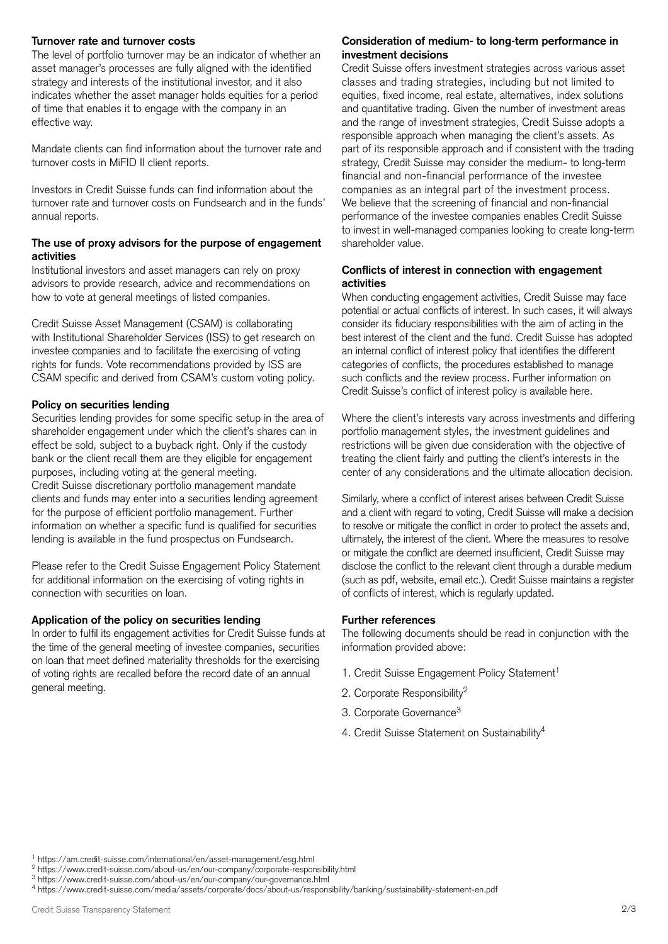The level of portfolio turnover may be an indicator of whether an asset manager's processes are fully aligned with the identified strategy and interests of the institutional investor, and it also indicates whether the asset manager holds equities for a period of time that enables it to engage with the company in an effective way.

Mandate clients can find information about the turnover rate and turnover costs in MiFID II client reports.

Investors in Credit Suisse funds can find information about the turnover rate and turnover costs on [Fundsearch](https://am.credit-suisse.com/ch/en/asset-management/investment-solutions/fund-search.html) and in the funds' annual reports.

### **The use of proxy advisors for the purpose of engagement activities**

Institutional investors and asset managers can rely on proxy advisors to provide research, advice and recommendations on how to vote at general meetings of listed companies.

Credit Suisse Asset Management (CSAM) is collaborating with Institutional Shareholder Services (ISS) to get research on investee companies and to facilitate the exercising of voting rights for funds. Vote recommendations provided by ISS are CSAM specific and derived from CSAM's custom voting policy.

# **Policy on securities lending**

Securities lending provides for some specific setup in the area of shareholder engagement under which the client's shares can in effect be sold, subject to a buyback right. Only if the custody bank or the client recall them are they eligible for engagement purposes, including voting at the general meeting. Credit Suisse discretionary portfolio management mandate clients and funds may enter into a securities lending agreement for the purpose of efficient portfolio management. Further information on whether a specific fund is qualified for securities lending is available in the fund prospectus on [Fundsearch.](https://am.credit-suisse.com/ch/en/asset-management/investment-solutions/fund-search.html) 

Please refer to the [Credit Suisse Engagement Policy Statement](https://www.credit-suisse.com/ch/en/asset-management/regulatory/engagement-policy-statement.html)  for additional information on the exercising of voting rights in connection with securities on loan.

## **Application of the policy on securities lending**

In order to fulfil its engagement activities for Credit Suisse funds at the time of the general meeting of investee companies, securities on loan that meet defined materiality thresholds for the exercising of voting rights are recalled before the record date of an annual general meeting.

## **Turnover rate and turnover costs Consideration of medium- to long-term performance in investment decisions**

Credit Suisse offers investment strategies across various asset classes and trading strategies, including but not limited to equities, fixed income, real estate, alternatives, index solutions and quantitative trading. Given the number of investment areas and the range of investment strategies, Credit Suisse adopts a responsible approach when managing the client's assets. As part of its responsible approach and if consistent with the trading strategy, Credit Suisse may consider the medium- to long-term financial and non-financial performance of the investee companies as an integral part of the investment process. We believe that the screening of financial and non-financial performance of the investee companies enables Credit Suisse to invest in well-managed companies looking to create long-term shareholder value.

### **Conflicts of interest in connection with engagement activities**

When conducting engagement activities, Credit Suisse may face potential or actual conflicts of interest. In such cases, it will always consider its fiduciary responsibilities with the aim of acting in the best interest of the client and the fund. Credit Suisse has adopted an internal conflict of interest policy that identifies the different categories of conflicts, the procedures established to manage such conflicts and the review process. Further information on Credit Suisse's conflict of interest policy is available [here.](https://www.credit-suisse.com/media/assets/sites/finfrag/conflicts-of-interests-policy.pdf)

Where the client's interests vary across investments and differing portfolio management styles, the investment guidelines and restrictions will be given due consideration with the objective of treating the client fairly and putting the client's interests in the center of any considerations and the ultimate allocation decision.

 of conflicts of interest, which is regularly updated. Similarly, where a conflict of interest arises between Credit Suisse and a client with regard to voting, Credit Suisse will make a decision to resolve or mitigate the conflict in order to protect the assets and, ultimately, the interest of the client. Where the measures to resolve or mitigate the conflict are deemed insufficient, Credit Suisse may disclose the conflict to the relevant client through a durable medium (such as pdf, website, email etc.). Credit Suisse maintains a register

# **Further references**

The following documents should be read in conjunction with the information provided above:

- 1. [Credit Suisse Engagement Policy Statement](https://am.credit-suisse.com/international/en/asset-management/esg.html)<sup>1</sup>
- 2. [Corporate Responsibility](https://www.credit-suisse.com/about-us/en/our-company/corporate-responsibility.html)<sup>2</sup>
- 3. Corporate Governance<sup>3</sup>
- 4. [Credit Suisse Statement on Sustainability](https://www.credit-suisse.com/media/assets/corporate/docs/about-us/responsibility/banking/sustainability-statement-en.pdf)<sup>4</sup>

<sup>1</sup> <https://am.credit-suisse.com/international/en/asset-management/esg.html>

<sup>2</sup> <https://www.credit-suisse.com/about-us/en/our-company/corporate-responsibility.html>

<sup>3</sup> <https://www.credit-suisse.com/about-us/en/our-company/our-governance.html>

<sup>4</sup> <https://www.credit-suisse.com/media/assets/corporate/docs/about-us/responsibility/banking/sustainability-statement-en.pdf>